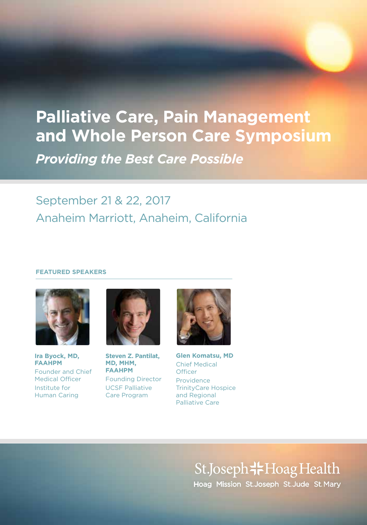# **Palliative Care, Pain Management and Whole Person Care Symposium** *Providing the Best Care Possible*

## September 21 & 22, 2017 Anaheim Marriott, Anaheim, California

#### **FEATURED SPEAKERS**



**Ira Byock, MD, FAAHPM** Founder and Chief Medical Officer Institute for Human Caring



**Steven Z. Pantilat, MD, MHM, FAAHPM** Founding Director UCSF Palliative Care Program



**Glen Komatsu, MD** Chief Medical **Officer** Providence TrinityCare Hospice and Regional Palliative Care

> St.Joseph<sup>-</sup>Hoag Health Hoag Mission St.Joseph St.Jude St.Mary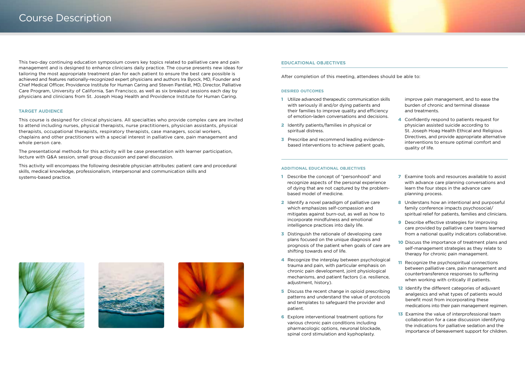This two-day continuing education symposium covers key topics related to palliative care and pain management and is designed to enhance clinicians daily practice. The course presents new ideas for tailoring the most appropriate treatment plan for each patient to ensure the best care possible is achieved and features nationally-recognized expert physicians and authors Ira Byock, MD, Founder and Chief Medical Officer, Providence Institute for Human Caring and Steven Pantilat, MD, Director, Palliative Care Program, University of California, San Francisco, as well as six breakout sessions each day by physicians and clinicians from St. Joseph Hoag Health and Providence Institute for Human Caring.

#### **TARGET AUDIENCE**

This course is designed for clinical physicians. All specialties who provide complex care are invited to attend including nurses, physical therapists, nurse practitioners, physician assistants, physical therapists, occupational therapists, respiratory therapists, case managers, social workers, chaplains and other practitioners with a special interest in palliative care, pain management and whole person care.

The presentational methods for this activity will be case presentation with learner participation, lecture with Q&A session, small group discussion and panel discussion.

This activity will encompass the following desirable physician attributes: patient care and procedural skills, medical knowledge, professionalism, interpersonal and communication skills and systems-based practice.

#### **EDUCATIONAL OBJECTIVES**

After completion of this meeting, attendees should be able to:

#### **DESIRED OUTCOMES**

- 1 Utilize advanced therapeutic communication skills with seriously ill and/or dying patients and their families to improve quality and efficiency of emotion-laden conversations and decisions.
- 2 Identify patients/families in physical or spiritual distress.
- **3** Prescribe and recommend leading evidencebased interventions to achieve patient goals,

improve pain management, and to ease the burden of chronic and terminal disease and treatments.

4 Confidently respond to patients request for physician assisted suicide according to St. Joseph Hoag Health Ethical and Religious Directives, and provide appropriate alternative interventions to ensure optimal comfort and quality of life.

#### **ADDITIONAL EDUCATIONAL OBJECTIVES**

- 1 Describe the concept of "personhood" and recognize aspects of the personal experience of dying that are not captured by the problembased model of medicine.
- 2 Identify a novel paradigm of palliative care which emphasizes self-compassion and mitigates against burn-out, as well as how to incorporate mindfulness and emotional intelligence practices into daily life.
- **3** Distinguish the rationale of developing care plans focused on the unique diagnosis and prognosis of the patient when goals of care are shifting towards end of life.
- 4 Recognize the interplay between psychological trauma and pain, with particular emphasis on chronic pain development, joint physiological mechanisms, and patient factors (i.e. resilience, adjustment, history).
- 5 Discuss the recent change in opioid prescribing patterns and understand the value of protocols and templates to safeguard the provider and patient.
- 6 Explore interventional treatment options for various chronic pain conditions including pharmacologic options, neuronal blockade, spinal cord stimulation and kyphoplasty.
- **7** Examine tools and resources available to assist with advance care planning conversations and learn the four steps in the advance care planning process.
- 8 Understans how an intentional and purposeful family conference impacts psychosocial/ spiritual relief for patients, families and clinicians.
- **9** Describe effective strategies for improving care provided by palliative care teams learned from a national quality indicators collaborative.
- 10 Discuss the importance of treatment plans and self-management strategies as they relate to therapy for chronic pain management.
- 11 Recognize the psychospiritual connections between palliative care, pain management and countertransference responses to suffering when working with critically ill patients.
- 12 Identify the different categories of adjuvant analgesics and what types of patients would benefit most from incorporating these medications into their pain management regimen.
- **13** Examine the value of interprofessional team collaboration for a case discussion identifying the indications for palliative sedation and the importance of bereavement support for children.





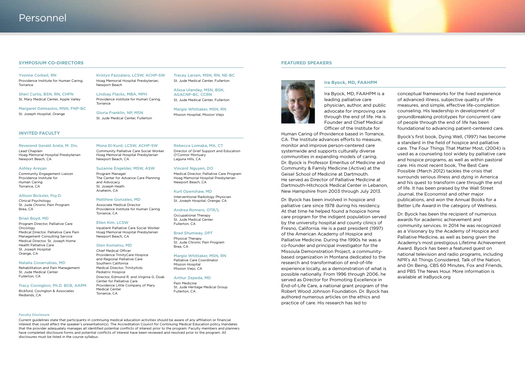#### **SYMPOSIUM CO-DIRECTORS**

Yvonne Corbeil, RN Providence Institute for Human Caring, Torrance

Sheri Curtis, BSN, RN, CHPN St. Mary Medical Center, Apple Valley

Margaret Delmastro, MSN, FNP-BC St. Joseph Hospital, Orange

#### **INVITED FACULTY**

#### Reverend Gerald Arata, M. Div. Lead Chaplain

Hoag Memorial Hospital Presbyterian Newport Beach, CA

#### Ashley Areyan

Community Engagement Liaison Providence Institute for Human Caring Torrance, CA

#### Allison Bicksler, Psy.D.

Clinical Psychology St. Jude Chronic Pain Program Brea, CA

#### Brian Boyd, MD

Program Director, Palliative Care **Oncology** Medical Director, Palliative Care Pain Management Consulting Service Medical Director, St. Joseph Home Health Palliative Care St. Joseph Hospital Orange, CA

#### Natalia Covarrubias, MD

Rehabilitation and Pain Management St. Jude Medical Center Fullerton, CA

#### Tracy Covington, Ph.D. BCB, AAPM

Bickford, Covington & Associates Redlands, CA

#### Kristyn Fazzalaro, LCSW, ACHP-SW Hoag Memorial Hospital Presbyterian, Newport Beach

Lindsay Flacks, MBA, MPH Providence Institute for Human Caring, Torrance

Gloria Franklin, NP, MSN St. Jude Medical Center, Fullerton

#### Mona El-Kurd, LCSW, ACHP-SW Community Palliative Care Social Worker Hoag Memorial Hospital Presbyterian Newport Beach, CA

#### Program Manager The Center for Advance Care Planning and Advocacy St. Joseph Heath Anaheim, CA

#### Matthew Gonzales, MD

Associate Medical Director Providence Institute for Human Caring Torrance, CA

#### Ellen Kim, LCSW

Inpatient Palliative Care Social Worker Hoag Memorial Hospital Presbyterian Newport Beach, CA

#### Glen Komatsu, MD

Chief Medical Officer Providence TrinityCare Hospice and Regional Palliative Care Southern California Medical Director, TrinityKids Pediatric Hospice Director, Edmond R. and Virginia G. Doak Center for Palliative Care Providence Little Company of Mary Medical Center Torrance, CA

Rebecca Lomaka, MA, CT Director of Grief Support and Education O'Connor Mortuary Laguna Hills, CA

Tracey Larsen, MSN, RN, NE-BC St. Jude Medical Center, Fullerton Alissa Ulanday, MSN, BSN, AGACNP-BC, CCRN St. Jude Medical Center, Fullerton Margie Whittaker, MSN, RN Mission Hospital, Mission Viejo

#### Vincent Nguyen, DO

Medical Director, Palliative Care Program Hoag Memorial Hospital Presbyterian Newport Beach, CA

Kurt Openshaw, MD Interventional Radiology Physician St. Joseph Hospital, Orange, CA

Andrea Romero, OTR/L Occupational Therapy St. Jude Medical Center Fullerton, CA

#### Brad Shumway, DPT Physical Therapy St. Jude Chronic Pain Program

Brea, CA

Margie Whittaker, MSN, RN Palliative Care Coordinator Mission Hospital Mission Viejo, CA

Arthur Zepeda, MD

Pain Medicine St. Jude Heritage Medical Group Fullerton, CA

#### **FEATURED SPEAKERS**



**Ira Byock, MD, FAAHPM**

Ira Byock, MD, FAAHPM is a leading palliative care physician, author, and public advocate for improving care through the end of life. He is Founder and Chief Medical Officer of the Institute for

Human Caring of Providence based in Torrance, CA. The Institute advances efforts to measure, monitor and improve person-centered care systemwide and supports culturally diverse communities in expanding models of caring. Dr. Byock is Professor Emeritus of Medicine and Community & Family Medicine (Active) at the Geisel School of Medicine at Dartmouth. He served as Director of Palliative Medicine at Dartmouth-Hitchcock Medical Center in Lebanon, New Hampshire from 2003 through July 2013.

Dr. Byock has been involved in hospice and palliative care since 1978 during his residency. At that time he helped found a hospice home care program for the indigent population served by the university hospital and county clinics of Fresno, California. He is a past president (1997) of the American Academy of Hospice and Palliative Medicine. During the 1990s he was a co-founder and principal investigator for the Missoula Demonstration Project, a communitybased organization in Montana dedicated to the research and transformation of end-of-life experience locally, as a demonstration of what is possible nationally. From 1996 through 2006, he served as Director for Promoting Excellence in End-of-Life Care, a national grant program of the Robert Wood Johnson Foundation. Dr. Byock has authored numerous articles on the ethics and practice of care. His research has led to

conceptual frameworks for the lived experience of advanced illness, subjective quality of life measures, and simple, effective life-completion counseling. His leadership in development of groundbreaking prototypes for concurrent care of people through the end of life has been foundational to advancing patient-centered care.

Byock's first book, Dying Well, (1997) has become a standard in the field of hospice and palliative care. The Four Things That Matter Most, (2004) is used as a counseling tool widely by palliative care and hospice programs, as well as within pastoral care. His most recent book, The Best Care Possible (March 2012) tackles the crisis that surrounds serious illness and dying in America and his quest to transform care through the end of life. It has been praised by the Wall Street Journal, the Economist and other major publications, and won the Annual Books for a Better Life Award in the category of Wellness.

Dr. Byock has been the recipient of numerous awards for academic achievement and community services. In 2014 he was recognized as a Visionary by the Academy of Hospice and Palliative Medicine, as well as being given the Academy's most prestigious Lifetime Achievement Award. Byock has been a featured guest on national television and radio programs, including NPR's All Things Considered, Talk of the Nation, and On Being, CBS 60 Minutes, Fox and Friends, and PBS The News Hour. More information is available at IraByock.org

#### Faculty Disclosure

Current guidelines state that participants in continuing medical education activities should be aware of any affiliation or financial interest that could affect the speaker's presentation(s). The Accreditation Council for Continuing Medical Education policy mandates that the provider adequately manages all identified potential conflicts of interest prior to the program. Faculty members and planners have completed disclosure forms and potential conflicts of interest have been reviewed and resolved prior to the program. All disclosures must be listed in the course syllabus.

### Suzanne Engelder, MSW, ASW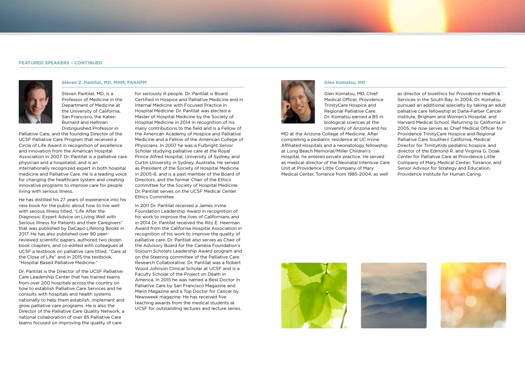#### **FEATURED SPEAKERS – CONTINUED**



**Steven Z. Pantilat, MD, MHM, FAAHPM**

Steven Pantilat, MD, is a Professor of Medicine in the Department of Medicine at the University of California, San Francisco, the Kates-Burnard and Hellman Distinguished Professor in

Palliative Care, and the founding Director of the UCSF Palliative Care Program that received a Circle of Life Award in recognition of excellence and innovation from the American Hospital Association in 2007. Dr. Pantilat is a palliative care physician and a hospitalist, and is an internationally recognized expert in both hospital medicine and Palliative Care. He is a leading voice for changing the healthcare system and creating innovative programs to improve care for people living with serious illness.

He has distilled his 27 years of experience into his new book for the public about how to live well with serious illness titled, "Life After the Diagnosis: Expert Advice on Living Well with Serious Illness for Patients and their Caregivers" that was published by DaCapo Lifelong Books in 2017. He has also published over 90 peerreviewed scientific papers, authored two dozen book chapters, and co-edited with colleagues at UCSF a textbook on palliative care titled, "Care at the Close of Life" and in 2015 the textbook, "Hospital Based Palliative Medicine."

Dr. Pantilat is the Director of the UCSF Palliative Care Leadership Center that has trained teams from over 200 hospitals across the country on how to establish Palliative Care Services and he consults with hospitals and health systems nationally to help them establish, implement and grow palliative care programs. He is also the Director of the Palliative Care Quality Network, a national collaboration of over 85 Palliative Care teams focused on improving the quality of care

for seriously ill people. Dr. Pantilat is Board Certified in Hospice and Palliative Medicine and in Internal Medicine with Focused Practice in Hospital Medicine. Dr. Pantilat was elected a Master of Hospital Medicine by the Society of Hospital Medicine in 2014 in recognition of his many contributions to the field and is a Fellow of the American Academy of Hospice and Palliative Medicine and a Fellow of the American College of Physicians. In 2007 he was a Fulbright Senior Scholar studying palliative care at the Royal Prince Alfred Hospital, University of Sydney, and Curtin University in Sydney, Australia. He served as President of the Society of Hospital Medicine in 2005-6, and is a past member of the Board of Directors, and the former Chair of the Ethics committee for the Society of Hospital Medicine. Dr. Pantilat serves on the UCSF Medical Center Ethics Committee.

In 2011 Dr. Pantilat received a James Irvine Foundation Leadership Award in recognition of his work to improve the lives of Californians and in 2014 Dr. Pantilat received the Ritz E. Heerman Award from the California Hospital Association in recognition of his work to improve the quality of palliative care. Dr. Pantilat also serves as Chair of the Advisory Board for the Cambia Foundation's Sojourn Scholars Leadership Award program and on the Steering committee of the Palliative Care Research Collaborative. Dr. Pantilat was a Robert Wood Johnson Clinical Scholar at UCSF and is a Faculty Scholar of the Project on Death in America. In 2015 he was named a Best Doctor in Palliative Care by San Francisco Magazine and Marin Magazine and a Top Doctor for Cancer by Newsweek magazine. He has received five teaching awards from the medical students at UCSF for outstanding lectures and lecture series.



**Glen Komatsu, MD**

Glen Komatsu, MD, Chief Medical Officer, Providence TrinityCare Hospice and Regional Palliative Care. Dr. Komatsu earned a BS in biological sciences at the University of Arizona and his

MD at the Arizona College of Medicine. After completing a pediatric residence at UC Irvine Affiliated Hospitals and a neonatology fellowship at Long Beach Memorial/Miller Children's Hospital, he entered private practice. He served as medical director of the Neonatal Intensive Care Unit at Providence Little Company of Mary Medical Center, Torrance from 1985-2004, as well

as director of bioethics for Providence Health & Services in the South Bay. In 2004, Dr. Komatsu pursued an additional specialty by taking an adult palliative care fellowship at Dana-Farber Cancer Institute, Brigham and Women's Hospital, and Harvard Medical School. Returning to California in 2005, he now serves as Chief Medical Officer for Providence TrinityCare Hospice and Regional Palliative Care Southern California, Medical Director for TrinityKids pediatric hospice, and director of the Edmond R. and Virginia G. Doak Center for Palliative Care at Providence Little Company of Mary Medical Center, Torrance, and Senior Advisor for Strategy and Education, Providence Institute for Human Caring.





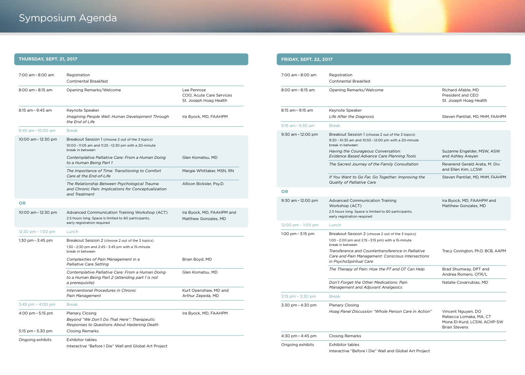# Symposium Agenda

## **THURSDAY, SEPT. 21, 2017**

| 7:00 am - 8:00 am                    | Registration<br>Continental Breakfast                                                                                                 |                                                                   |
|--------------------------------------|---------------------------------------------------------------------------------------------------------------------------------------|-------------------------------------------------------------------|
| $8:00$ am $-8:15$ am                 | Opening Remarks/Welcome                                                                                                               | Lee Penrose<br>COO, Acute Care Services<br>St. Joseph Hoag Health |
| 8:15 am - 9:45 am                    | Keynote Speaker<br>Imagining People Well: Human Development Through<br>the End of Life                                                | Ira Byock, MD, FAAHPM                                             |
| $9:45$ am $-10:00$ am                | <b>Break</b>                                                                                                                          |                                                                   |
| 10:00 am - 12:30 pm                  | Breakout Session 1 (choose 2 out of the 3 topics)<br>10:00 - 11:05 am and 11:25 - 12:30 pm with a 20-minute<br>break in between       |                                                                   |
|                                      | Contemplative Palliative Care: From a Human Doing<br>to a Human Being Part 1                                                          | Glen Komatsu, MD                                                  |
|                                      | The Importance of Time: Transitioning to Comfort<br>Care at the End-of-Life                                                           | Margie Whittaker, MSN, RN                                         |
|                                      | The Relationship Between Psychological Trauma<br>and Chronic Pain: Implications for Conceptualization<br>and Treatment                | Allison Bicksler, Psy.D.                                          |
| <b>OR</b>                            |                                                                                                                                       |                                                                   |
| 10:00 am - 12:30 pm                  | Advanced Communication Training Workshop (ACT)<br>2.5 hours long. Space is limited to 60 participants,<br>early registration required | Ira Byock, MD, FAAHPM and<br>Matthew Gonzales, MD                 |
| $12:30 \text{ pm} - 1:30 \text{ pm}$ | Lunch                                                                                                                                 |                                                                   |
| 1:30 pm $-$ 3:45 pm                  | Breakout Session 2 (choose 2 out of the 3 topics)<br>1:30 - 2:30 pm and 2:45 - 3:45 pm with a 15-minute<br>break in between           |                                                                   |
|                                      | Complexities of Pain Management in a<br><b>Palliative Care Setting</b>                                                                | Brian Boyd, MD                                                    |
|                                      | Contemplative Palliative Care: From a Human Doing<br>to a Human Being Part 2 (attending part 1 is not<br>a prerequisite)              | Glen Komatsu, MD                                                  |
|                                      | Interventional Procedures in Chronic<br>Pain Management                                                                               | Kurt Openshaw, MD and<br>Arthur Zepeda, MD                        |
| 3:45 pm – 4:00 pm                    | <b>Break</b>                                                                                                                          |                                                                   |
| 4:00 pm $-$ 5:15 pm                  | <b>Plenary Closing</b><br>Beyond "We Don't Do That Here": Therapeutic<br>Responses to Questions About Hastening Death                 | Ira Byock, MD, FAAHPM                                             |
| $5:15$ pm $-5:30$ pm                 | <b>Closing Remarks</b>                                                                                                                |                                                                   |
| Ongoing exhibits                     | <b>Exhibitor tables</b><br>Interactive "Before I Die" Wall and Global Art Project                                                     |                                                                   |

## **FRIDAY, SEPT. 22, 2017**

| 7:00 am - 8:00 am                    | Registration<br><b>Continental Breakfast</b>                                                                                       |                                                                                                     |
|--------------------------------------|------------------------------------------------------------------------------------------------------------------------------------|-----------------------------------------------------------------------------------------------------|
| 8:00 am - 8:15 am                    | Opening Remarks/Welcome                                                                                                            | Richard Afable, MD<br>President and CEO<br>St. Joseph Hoag Health                                   |
| 8:15 am - 9:15 am                    | Keynote Speaker<br>Life After the Diagnosis                                                                                        | Steven Pantilat, MD, MHM, FAAHPM                                                                    |
| $9:15$ am $-9:30$ am                 | <b>Break</b>                                                                                                                       |                                                                                                     |
| $9:30$ am $-12:00$ pm                | Breakout Session 1 (choose 2 out of the 3 topics)<br>9:30 - 10:35 am and 10:55 - 12:00 pm with a 20-minute<br>break in between     |                                                                                                     |
|                                      | Having the Courageous Conversation:<br>Evidence Based Advance Care Planning Tools                                                  | Suzanne Engelder, MSW, ASW<br>and Ashley Areyan                                                     |
|                                      | The Sacred Journey of the Family Consultation                                                                                      | Reverend Gerald Arata, M. Div.<br>and Ellen Kim, LCSW                                               |
|                                      | If You Want to Go Far, Go Together: Improving the<br><b>Quality of Palliative Care</b>                                             | Steven Pantilat, MD, MHM, FAAHPM                                                                    |
| <b>OR</b>                            |                                                                                                                                    |                                                                                                     |
| $9:30$ am $-12:00$ pm                | <b>Advanced Communication Training</b><br>Workshop (ACT)                                                                           | Ira Byock, MD, FAAHPM and<br>Matthew Gonzales, MD                                                   |
|                                      | 2.5 hours long. Space is limited to 60 participants,<br>early registration required                                                |                                                                                                     |
| $12:00 \text{ pm} - 1:00 \text{ pm}$ | Lunch                                                                                                                              |                                                                                                     |
| 1:00 pm $-$ 3:15 pm                  | Breakout Session 2 (choose 2 out of the 3 topics)                                                                                  |                                                                                                     |
|                                      | 1:00 - 2:00 pm and 2:15 - 3:15 pm) with a 15-minute<br>break in between                                                            |                                                                                                     |
|                                      | Transference and Countertransference in Palliative<br>Care and Pain Management: Conscious Intersections<br>in PsychoSpiritual Care | Tracy Covington, Ph.D. BCB, AAPM                                                                    |
|                                      | The Therapy of Pain: How the PT and OT Can Help                                                                                    | Brad Shumway, DPT and<br>Andrea Romero, OTR/L                                                       |
|                                      | Don't Forget the Other Medications: Pain<br><b>Management and Adjuvant Analgesics</b>                                              | Natalie Covarrubias, MD                                                                             |
| $3:15$ pm $- 3:30$ pm                | <b>Break</b>                                                                                                                       |                                                                                                     |
| 3:30 pm - 4:30 pm                    | Plenary Closing                                                                                                                    |                                                                                                     |
|                                      | Hoag Panel Discussion "Whole Person Care in Action"                                                                                | Vincent Nguyen, DO<br>Rebecca Lomaka, MA, CT<br>Mona El-Kurd, LCSW, ACHP-SW<br><b>Brian Stevens</b> |
| 4:30 pm - 4:45 pm                    | <b>Closing Remarks</b>                                                                                                             |                                                                                                     |
| Ongoing exhibits                     | <b>Exhibitor tables</b>                                                                                                            |                                                                                                     |
|                                      | Interactive "Before I Die" Wall and Global Art Project                                                                             |                                                                                                     |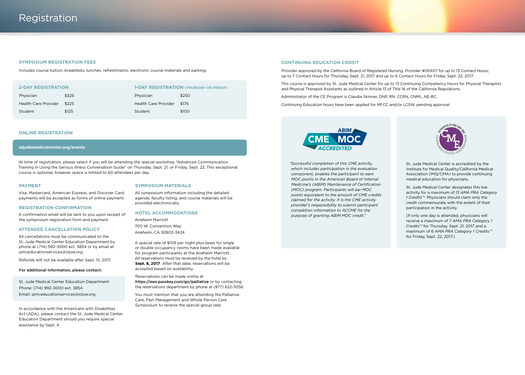#### **SYMPOSIUM REGISTRATION FEES**

Includes course tuition, breakfasts, lunches, refreshments, electronic course materials and parking.

| <b>2-DAY REGISTRATION</b>   |       | <b>1-DAY REGISTRATION (THURSDAY OR FRIDAY)</b> |       |  |
|-----------------------------|-------|------------------------------------------------|-------|--|
| Physician                   | \$325 | Physician                                      | \$250 |  |
| <b>Health Care Provider</b> | \$225 | <b>Health Care Provider</b>                    | \$175 |  |
| Student                     | \$125 | Student                                        | \$100 |  |

#### **ONLINE REGISTRATION**

#### **stjudemedicalcenter.org/events**

At time of registration, please select if you will be attending the special workshop "Advanced Communication Training in Using the Serious Illness Conversation Guide" on Thursday, Sept. 21, or Friday, Sept. 22. This exceptional course is optional, however space is limited to 60 attendees per day.

#### **PAYMENT**

#### **SYMPOSIUM MATERIALS**

All symposium information including the detailed agenda, faculty listing, and course materials will be provided electronically.

#### **HOTEL ACCOMMODATIONS**

Anaheim Marriott 700 W. Convention Way Anaheim, CA 92802-3424

A special rate of \$109 per night plus taxes for single or double occupancy rooms have been made available for program participants at the Anaheim Marriott. All reservations must be received by the hotel by Sept. 8, 2017. After that date, reservations will be accepted based on availability.

Reservations can be made online at https://aws.passkey.com/go/palliative or by contacting the reservations department by phone at (877) 622-3056.

You must mention that you are attending the Palliative Care, Pain Management and Whole Person Care Symposium to receive the special group rate.

#### **CONTINUING EDUCATION CREDIT**

Provider approved by the California Board of Registered Nursing, Provider #00407 for up to 13 Contact Hours; up to 7 Contact Hours for Thursday, Sept. 21, 2017 and up to 6 Contact Hours for Friday, Sept. 22, 2017.

This course is approved by St. Jude Medical Center for up to 13 Continuing Competency Hours for Physical Therapists and Physical Therapist Assistants as outlined in Article 13 of Title 16 of the California Regulations.

Administrator of the CE Program is Claudia Skinner, DNP, RN, CCRN, CNML, NE-BC.

Continuing Education hours have been applied for MFCC and/or LCSW, pending approval.



*"Successful completion of this CME activity, which includes participation in the evaluation component, enables the participant to earn MOC points in the American Board of Internal Medicine's (ABIM) Maintenance of Certification (MOC) program. Participants will ear MOC points equivalent to the amount of CME credits claimed for the activity. It is the CME activity provider's responsibility to submit participant completion information to ACCME for the purpose of granting ABIM MOC credit."* 



St. Jude Medical Center is accredited by the Institute for Medical Quality/California Medical Association (IMQ/CMA) to provide continuing medical education for physicians.

St. Jude Medical Center designates this live activity for a maximum of *13 AMA PRA Category 1 Credits™.* Physicians should claim only the credit commensurate with the extent of their participation in the activity.

(If only one day is attended, physicians will receive a maximum of 7 *AMA PRA Category 1 Credits™* for Thursday, Sept. 21, 2017 and a maximum of 6 *AMA PRA Category 1 Credits™* for Friday, Sept. 22, 2017.)

Visa, Mastercard, American Express, and Discover Card payments will be accepted as forms of online payment.

#### **REGISTRATION CONFIRMATION**

A confirmation email will be sent to you upon receipt of the symposium registration form and payment.

#### **ATTENDEE CANCELLATION POLICY**

All cancellations must be communicated to the St. Jude Medical Center Education Department by phone at (714) 992-3000 ext. 3854 or by email at sjmceducationservices@stjoe.org.

Refunds will not be available after Sept. 15, 2017.

#### For additional information, please contact:

St. Jude Medical Center Education Department Phone: (714) 992-3000 ext. 3854 Email: sjmceducationservices@stjoe.org

In accordance with the Americans with Disabilities Act (ADA), please contact the St. Jude Medical Center Education Department should you require special assistance by Sept. 4.